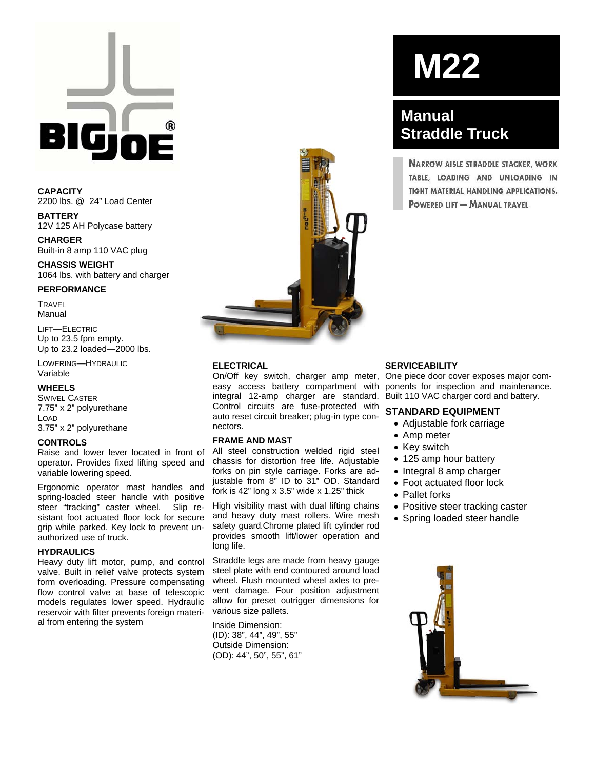**CAPACITY**  2200 lbs. @ 24" Load Center

**BATTERY**  12V 125 AH Polycase battery

**CHARGER**  Built-in 8 amp 110 VAC plug

**CHASSIS WEIGHT**  1064 lbs. with battery and charger

#### **PERFORMANCE**

**TRAVEL** Manual

LIFT—ELECTRIC Up to 23.5 fpm empty. Up to 23.2 loaded—2000 lbs.

LOWERING—HYDRAULIC Variable

#### **WHEELS**

SWIVEL CASTER 7.75" x 2" polyurethane LOAD 3.75" x 2" polyurethane

#### **CONTROLS**

Raise and lower lever located in front of operator. Provides fixed lifting speed and variable lowering speed.

Ergonomic operator mast handles and spring-loaded steer handle with positive steer "tracking" caster wheel. Slip resistant foot actuated floor lock for secure grip while parked. Key lock to prevent unauthorized use of truck.

#### **HYDRAULICS**

Heavy duty lift motor, pump, and control valve. Built in relief valve protects system form overloading. Pressure compensating flow control valve at base of telescopic models regulates lower speed. Hydraulic reservoir with filter prevents foreign material from entering the system



#### **ELECTRICAL**

On/Off key switch, charger amp meter, easy access battery compartment with integral 12-amp charger are standard. Control circuits are fuse-protected with auto reset circuit breaker; plug-in type connectors.

#### **FRAME AND MAST**

All steel construction welded rigid steel chassis for distortion free life. Adjustable forks on pin style carriage. Forks are adjustable from 8" ID to 31" OD. Standard fork is 42" long x 3.5" wide x 1.25" thick

High visibility mast with dual lifting chains and heavy duty mast rollers. Wire mesh safety quard. Chrome plated lift cylinder rod provides smooth lift/lower operation and long life.

Straddle legs are made from heavy gauge steel plate with end contoured around load wheel. Flush mounted wheel axles to prevent damage. Four position adjustment allow for preset outrigger dimensions for various size pallets.

Inside Dimension: (ID): 38", 44", 49", 55" Outside Dimension: (OD): 44", 50", 55", 61"

# **M22**

## **Manual Straddle Truck**

**NARROW AISLE STRADDLE STACKER, WORK** TABLE, LOADING AND UNLOADING IN TIGHT MATERIAL HANDLING APPLICATIONS. **POWERED LIFT - MANUAL TRAVEL.** 

#### **SERVICEABILITY**

One piece door cover exposes major components for inspection and maintenance. Built 110 VAC charger cord and battery.

### **STANDARD EQUIPMENT**

- Adiustable fork carriage
- Amp meter
- Key switch
- 125 amp hour battery
- Integral 8 amp charger
- Foot actuated floor lock
- Pallet forks
- Positive steer tracking caster
- Spring loaded steer handle